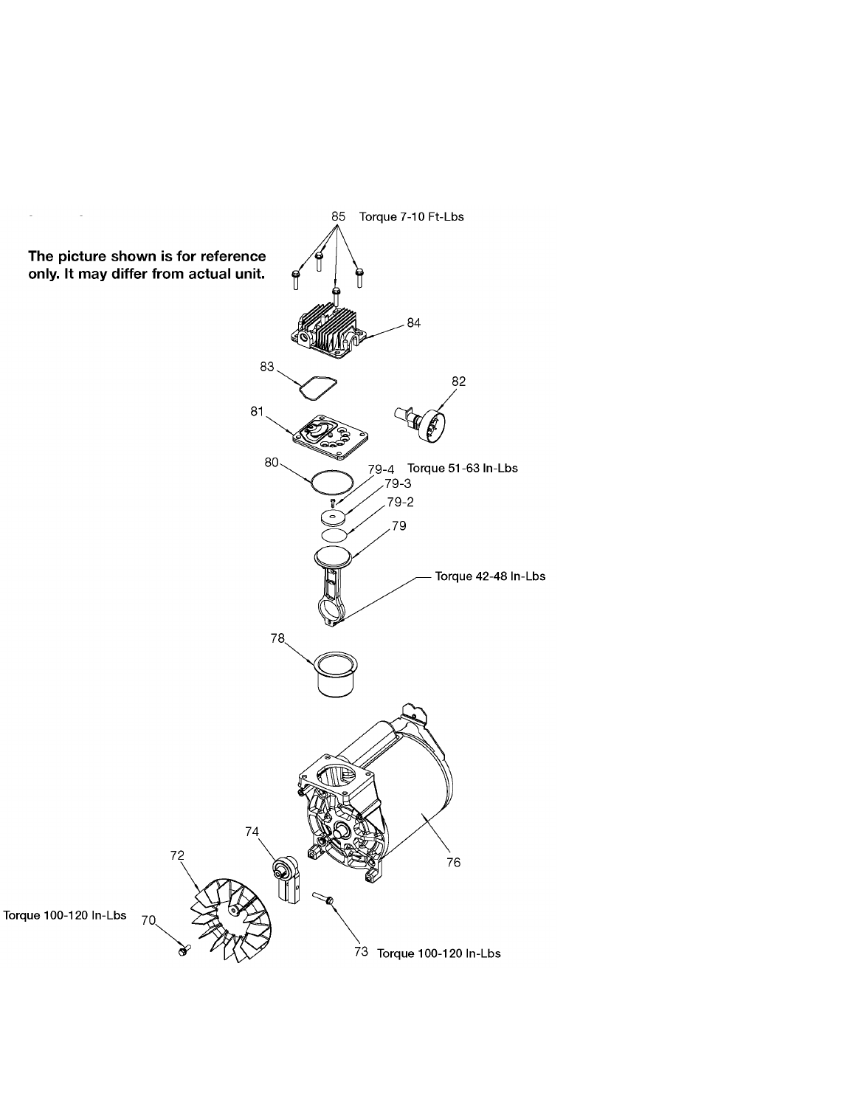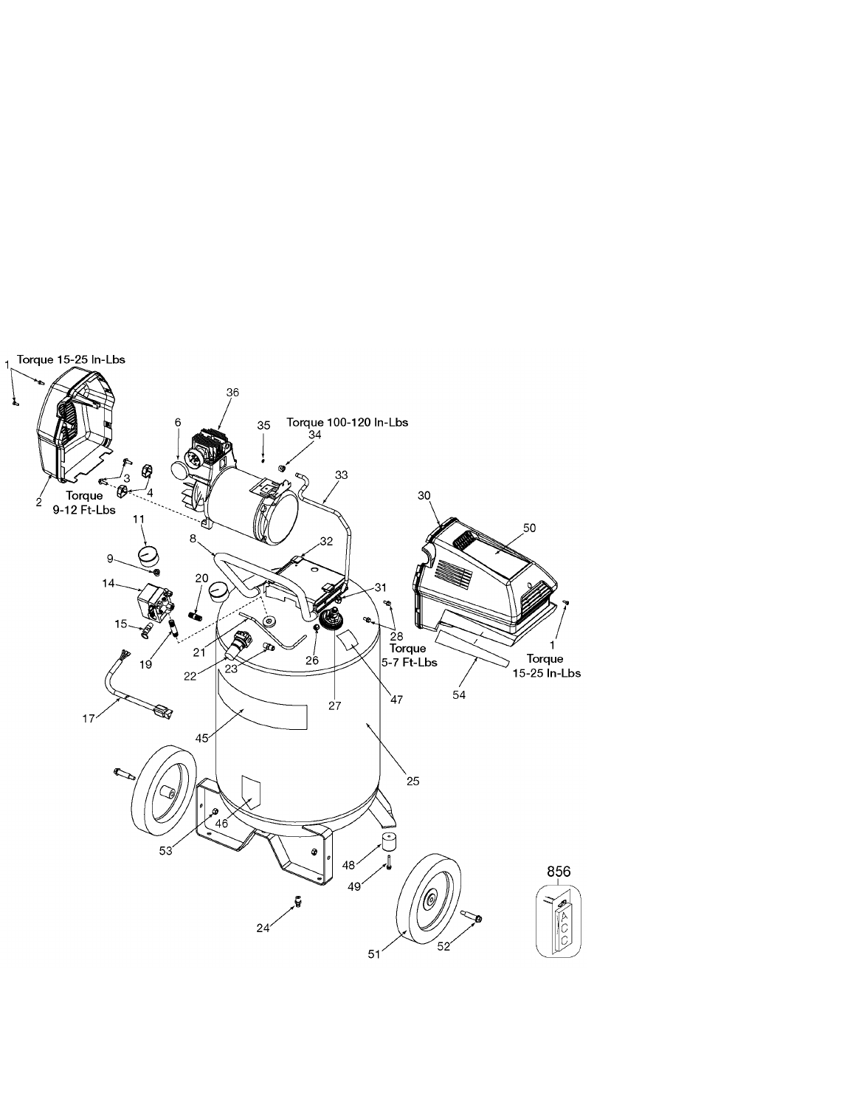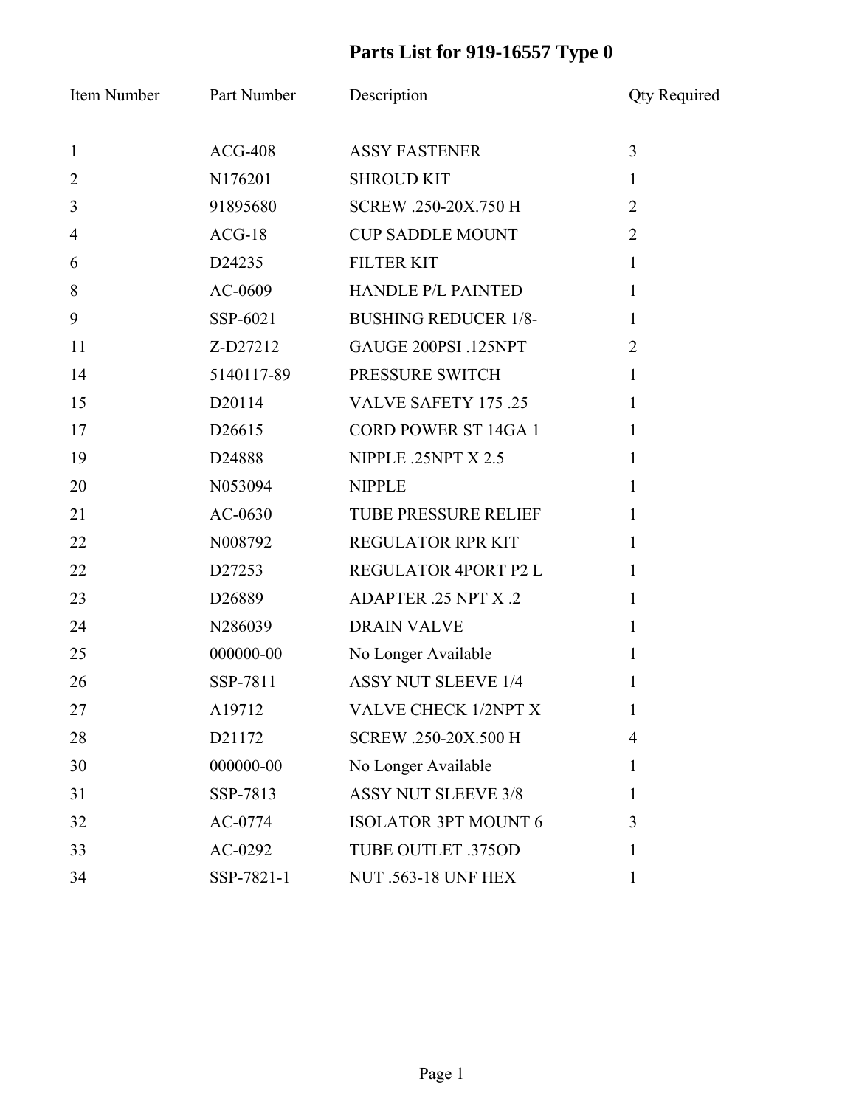## **Parts List for 919-16557 Type 0**

| Item Number    | Part Number        | Description                 | <b>Qty Required</b> |
|----------------|--------------------|-----------------------------|---------------------|
| $\mathbf{1}$   | $ACG-408$          | <b>ASSY FASTENER</b>        | $\overline{3}$      |
| $\overline{2}$ | N176201            | <b>SHROUD KIT</b>           | $\mathbf{1}$        |
| $\overline{3}$ | 91895680           | SCREW .250-20X.750 H        | $\overline{2}$      |
| $\overline{4}$ | $ACG-18$           | <b>CUP SADDLE MOUNT</b>     | $\overline{2}$      |
| 6              | D <sub>24235</sub> | <b>FILTER KIT</b>           | $\mathbf{1}$        |
| 8              | AC-0609            | <b>HANDLE P/L PAINTED</b>   | $\mathbf{1}$        |
| 9              | SSP-6021           | <b>BUSHING REDUCER 1/8-</b> | $\mathbf{1}$        |
| 11             | Z-D27212           | GAUGE 200PSI .125NPT        | $\overline{2}$      |
| 14             | 5140117-89         | PRESSURE SWITCH             | $\mathbf{1}$        |
| 15             | D <sub>20114</sub> | <b>VALVE SAFETY 175 .25</b> | $\mathbf{1}$        |
| 17             | D26615             | <b>CORD POWER ST 14GA 1</b> | $\mathbf{1}$        |
| 19             | D24888             | NIPPLE .25NPT X 2.5         | $\mathbf{1}$        |
| 20             | N053094            | <b>NIPPLE</b>               | $\mathbf{1}$        |
| 21             | AC-0630            | TUBE PRESSURE RELIEF        | $\mathbf{1}$        |
| 22             | N008792            | REGULATOR RPR KIT           | $\mathbf{1}$        |
| 22             | D27253             | REGULATOR 4PORT P2 L        | $\mathbf{1}$        |
| 23             | D <sub>26889</sub> | ADAPTER .25 NPT X .2        | $\mathbf{1}$        |
| 24             | N286039            | <b>DRAIN VALVE</b>          | $\mathbf{1}$        |
| 25             | 000000-00          | No Longer Available         | $\mathbf{1}$        |
| 26             | SSP-7811           | <b>ASSY NUT SLEEVE 1/4</b>  | 1                   |
| 27             | A19712             | <b>VALVE CHECK 1/2NPT X</b> | $\mathbf{I}$        |
| 28             | D21172             | SCREW .250-20X.500 H        | $\overline{4}$      |
| 30             | 000000-00          | No Longer Available         | 1                   |
| 31             | SSP-7813           | <b>ASSY NUT SLEEVE 3/8</b>  | 1                   |
| 32             | AC-0774            | <b>ISOLATOR 3PT MOUNT 6</b> | 3                   |
| 33             | AC-0292            | <b>TUBE OUTLET .375OD</b>   | 1                   |
| 34             | SSP-7821-1         | <b>NUT .563-18 UNF HEX</b>  | $\mathbf{1}$        |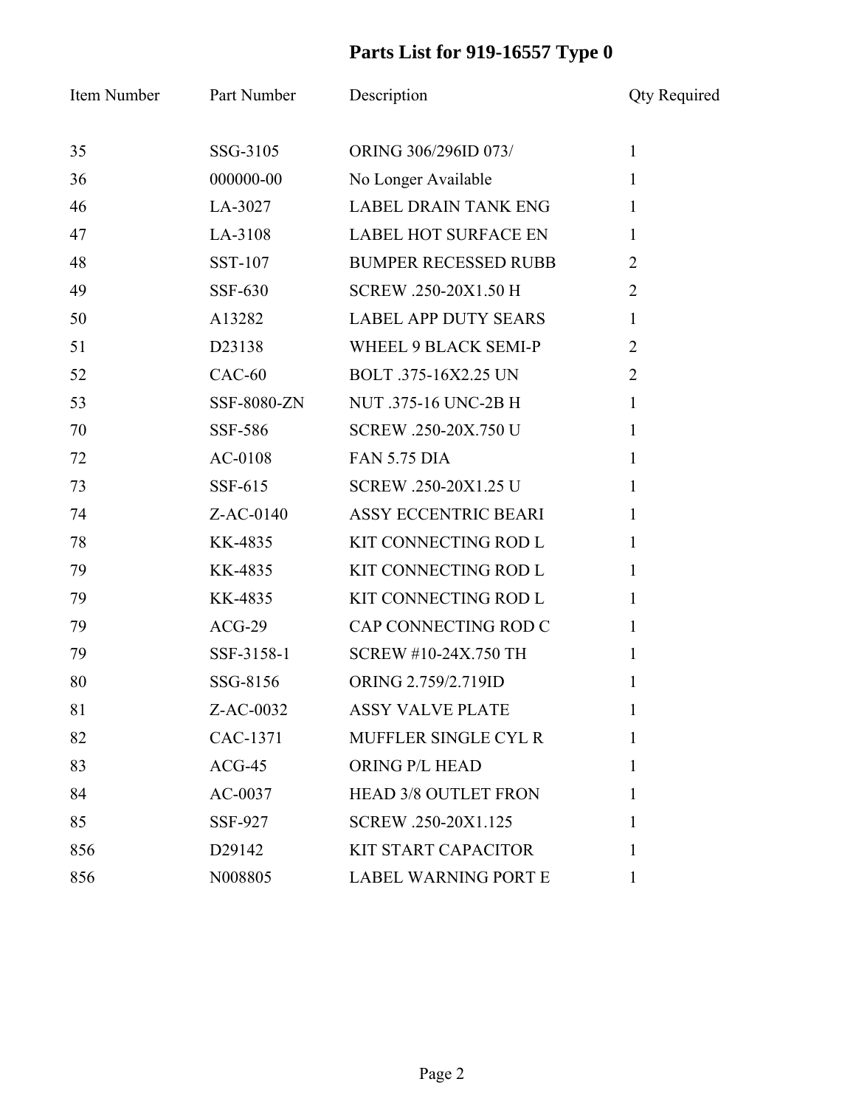## **Parts List for 919-16557 Type 0**

| Item Number | Part Number    | Description                 | <b>Qty Required</b> |
|-------------|----------------|-----------------------------|---------------------|
| 35          | SSG-3105       | ORING 306/296ID 073/        | $\mathbf{1}$        |
| 36          | 000000-00      | No Longer Available         | $\mathbf{1}$        |
| 46          | LA-3027        | <b>LABEL DRAIN TANK ENG</b> | 1                   |
| 47          | LA-3108        | <b>LABEL HOT SURFACE EN</b> | 1                   |
| 48          | SST-107        | <b>BUMPER RECESSED RUBB</b> | $\overline{2}$      |
| 49          | <b>SSF-630</b> | SCREW .250-20X1.50 H        | $\overline{2}$      |
| 50          | A13282         | <b>LABEL APP DUTY SEARS</b> | $\mathbf{1}$        |
| 51          | D23138         | WHEEL 9 BLACK SEMI-P        | $\overline{2}$      |
| 52          | $CAC-60$       | BOLT .375-16X2.25 UN        | $\overline{2}$      |
| 53          | SSF-8080-ZN    | NUT .375-16 UNC-2B H        | $\mathbf{1}$        |
| 70          | SSF-586        | SCREW .250-20X.750 U        | $\mathbf{1}$        |
| 72          | $AC-0108$      | <b>FAN 5.75 DIA</b>         | 1                   |
| 73          | SSF-615        | SCREW .250-20X1.25 U        | $\mathbf{1}$        |
| 74          | $Z$ -AC-0140   | <b>ASSY ECCENTRIC BEARI</b> | 1                   |
| 78          | KK-4835        | KIT CONNECTING ROD L        | $\mathbf{1}$        |
| 79          | KK-4835        | KIT CONNECTING ROD L        | 1                   |
| 79          | KK-4835        | KIT CONNECTING ROD L        | $\mathbf{1}$        |
| 79          | $ACG-29$       | CAP CONNECTING ROD C        | $\mathbf{1}$        |
| 79          | SSF-3158-1     | SCREW #10-24X.750 TH        | $\mathbf{1}$        |
| 80          | SSG-8156       | ORING 2.759/2.719ID         | 1                   |
| 81          | Z-AC-0032      | <b>ASSY VALVE PLATE</b>     |                     |
| 82          | CAC-1371       | MUFFLER SINGLE CYL R        | 1                   |
| 83          | $ACG-45$       | ORING P/L HEAD              | 1                   |
| 84          | AC-0037        | <b>HEAD 3/8 OUTLET FRON</b> | 1                   |
| 85          | <b>SSF-927</b> | SCREW .250-20X1.125         | 1                   |
| 856         | D29142         | <b>KIT START CAPACITOR</b>  | 1                   |
| 856         | N008805        | <b>LABEL WARNING PORT E</b> | 1                   |